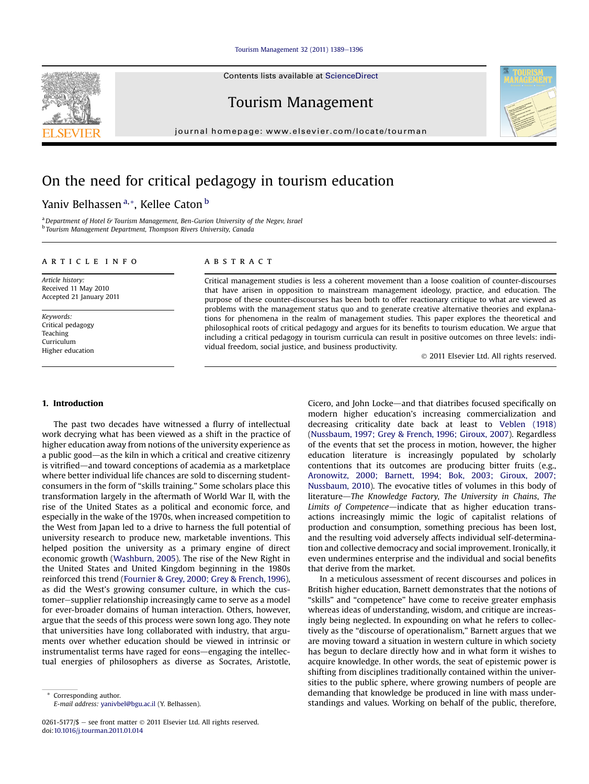#### [Tourism Management 32 \(2011\) 1389](http://dx.doi.org/10.1016/j.tourman.2011.01.014)-[1396](http://dx.doi.org/10.1016/j.tourman.2011.01.014)

Contents lists available at ScienceDirect

Tourism Management

journal homepage: [www.elsevier.com/locate/tourman](http://www.elsevier.com/locate/tourman)

# On the need for critical pedagogy in tourism education

Yaniv Belhassen<sup>a,\*</sup>, Kellee Caton<sup>b</sup>

a Department of Hotel & Tourism Management, Ben-Gurion University of the Negev, Israel **b Tourism Management Department, Thompson Rivers University, Canada** 

## article info

Article history: Received 11 May 2010 Accepted 21 January 2011

Keywords: Critical pedagogy Teaching Curriculum Higher education

## ABSTRACT

Critical management studies is less a coherent movement than a loose coalition of counter-discourses that have arisen in opposition to mainstream management ideology, practice, and education. The purpose of these counter-discourses has been both to offer reactionary critique to what are viewed as problems with the management status quo and to generate creative alternative theories and explanations for phenomena in the realm of management studies. This paper explores the theoretical and philosophical roots of critical pedagogy and argues for its benefits to tourism education. We argue that including a critical pedagogy in tourism curricula can result in positive outcomes on three levels: individual freedom, social justice, and business productivity.

2011 Elsevier Ltd. All rights reserved.

#### 1. Introduction

The past two decades have witnessed a flurry of intellectual work decrying what has been viewed as a shift in the practice of higher education away from notions of the university experience as a public good—as the kiln in which a critical and creative citizenry is vitrified—and toward conceptions of academia as a marketplace where better individual life chances are sold to discerning studentconsumers in the form of "skills training." Some scholars place this transformation largely in the aftermath of World War II, with the rise of the United States as a political and economic force, and especially in the wake of the 1970s, when increased competition to the West from Japan led to a drive to harness the full potential of university research to produce new, marketable inventions. This helped position the university as a primary engine of direct economic growth ([Washburn, 2005\)](#page-7-0). The rise of the New Right in the United States and United Kingdom beginning in the 1980s reinforced this trend [\(Fournier & Grey, 2000; Grey & French, 1996\)](#page-6-0), as did the West's growing consumer culture, in which the customer-supplier relationship increasingly came to serve as a model for ever-broader domains of human interaction. Others, however, argue that the seeds of this process were sown long ago. They note that universities have long collaborated with industry, that arguments over whether education should be viewed in intrinsic or instrumentalist terms have raged for eons-engaging the intellectual energies of philosophers as diverse as Socrates, Aristotle,

Cicero, and John Locke—and that diatribes focused specifically on modern higher education's increasing commercialization and decreasing criticality date back at least to [Veblen \(1918\)](#page-7-0) ([Nussbaum, 1997; Grey & French, 1996; Giroux, 2007\)](#page-7-0). Regardless of the events that set the process in motion, however, the higher education literature is increasingly populated by scholarly contentions that its outcomes are producing bitter fruits (e.g., [Aronowitz, 2000; Barnett, 1994; Bok, 2003; Giroux, 2007;](#page-6-0) [Nussbaum, 2010](#page-6-0)). The evocative titles of volumes in this body of literature—The Knowledge Factory, The University in Chains, The Limits of Competence-indicate that as higher education transactions increasingly mimic the logic of capitalist relations of production and consumption, something precious has been lost, and the resulting void adversely affects individual self-determination and collective democracy and social improvement. Ironically, it even undermines enterprise and the individual and social benefits that derive from the market.

In a meticulous assessment of recent discourses and polices in British higher education, Barnett demonstrates that the notions of "skills" and "competence" have come to receive greater emphasis whereas ideas of understanding, wisdom, and critique are increasingly being neglected. In expounding on what he refers to collectively as the "discourse of operationalism," Barnett argues that we are moving toward a situation in western culture in which society has begun to declare directly how and in what form it wishes to acquire knowledge. In other words, the seat of epistemic power is shifting from disciplines traditionally contained within the universities to the public sphere, where growing numbers of people are demanding that knowledge be produced in line with mass understandings and values. Working on behalf of the public, therefore,





Corresponding author. E-mail address: [yanivbel@bgu.ac.il](mailto:yanivbel@bgu.ac.il) (Y. Belhassen).

<sup>0261-5177/\$</sup>  $-$  see front matter  $\odot$  2011 Elsevier Ltd. All rights reserved. doi[:10.1016/j.tourman.2011.01.014](http://dx.doi.org/10.1016/j.tourman.2011.01.014)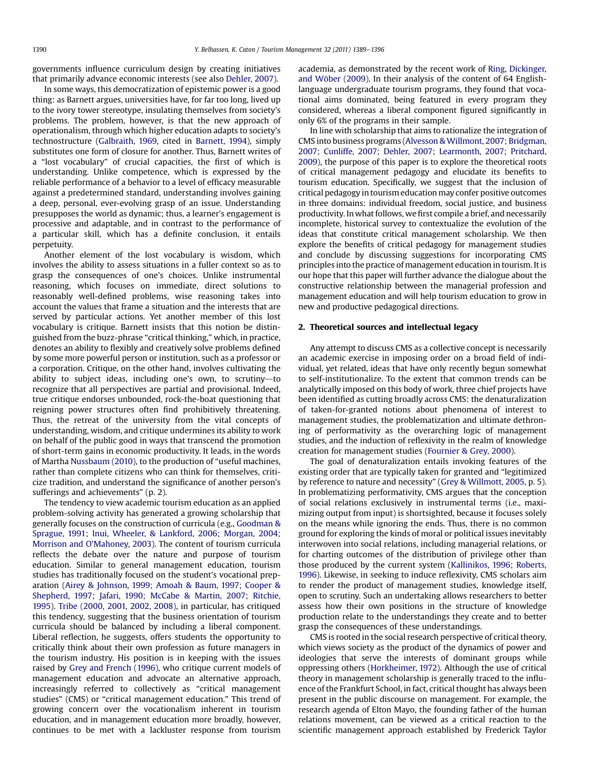governments influence curriculum design by creating initiatives that primarily advance economic interests (see also [Dehler, 2007\)](#page-6-0).

In some ways, this democratization of epistemic power is a good thing: as Barnett argues, universities have, for far too long, lived up to the ivory tower stereotype, insulating themselves from society's problems. The problem, however, is that the new approach of operationalism, through which higher education adapts to society's technostructure ([Galbraith, 1969,](#page-6-0) cited in [Barnett, 1994\)](#page-6-0), simply substitutes one form of closure for another. Thus, Barnett writes of a "lost vocabulary" of crucial capacities, the first of which is understanding. Unlike competence, which is expressed by the reliable performance of a behavior to a level of efficacy measurable against a predetermined standard, understanding involves gaining a deep, personal, ever-evolving grasp of an issue. Understanding presupposes the world as dynamic; thus, a learner's engagement is processive and adaptable, and in contrast to the performance of a particular skill, which has a definite conclusion, it entails perpetuity.

Another element of the lost vocabulary is wisdom, which involves the ability to assess situations in a fuller context so as to grasp the consequences of one's choices. Unlike instrumental reasoning, which focuses on immediate, direct solutions to reasonably well-defined problems, wise reasoning takes into account the values that frame a situation and the interests that are served by particular actions. Yet another member of this lost vocabulary is critique. Barnett insists that this notion be distinguished from the buzz-phrase "critical thinking," which, in practice, denotes an ability to flexibly and creatively solve problems defined by some more powerful person or institution, such as a professor or a corporation. Critique, on the other hand, involves cultivating the ability to subject ideas, including one's own, to scrutiny-to recognize that all perspectives are partial and provisional. Indeed, true critique endorses unbounded, rock-the-boat questioning that reigning power structures often find prohibitively threatening. Thus, the retreat of the university from the vital concepts of understanding, wisdom, and critique undermines its ability to work on behalf of the public good in ways that transcend the promotion of short-term gains in economic productivity. It leads, in the words of Martha [Nussbaum \(2010\)](#page-7-0), to the production of "useful machines, rather than complete citizens who can think for themselves, criticize tradition, and understand the significance of another person's sufferings and achievements" (p. 2).

The tendency to view academic tourism education as an applied problem-solving activity has generated a growing scholarship that generally focuses on the construction of curricula (e.g., [Goodman &](#page-7-0) [Sprague, 1991; Inui, Wheeler, & Lankford, 2006; Morgan, 2004;](#page-7-0) [Morrison and O](#page-7-0)'Mahoney, 2003). The content of tourism curricula reflects the debate over the nature and purpose of tourism education. Similar to general management education, tourism studies has traditionally focused on the student's vocational preparation [\(Airey & Johnson, 1999; Amoah & Baum, 1997; Cooper &](#page-6-0) [Shepherd, 1997; Jafari, 1990; McCabe & Martin, 2007; Ritchie,](#page-6-0) [1995](#page-6-0)). [Tribe \(2000, 2001, 2002, 2008\)](#page-7-0), in particular, has critiqued this tendency, suggesting that the business orientation of tourism curricula should be balanced by including a liberal component. Liberal reflection, he suggests, offers students the opportunity to critically think about their own profession as future managers in the tourism industry. His position is in keeping with the issues raised by [Grey and French \(1996\)](#page-7-0), who critique current models of management education and advocate an alternative approach, increasingly referred to collectively as "critical management studies" (CMS) or "critical management education." This trend of growing concern over the vocationalism inherent in tourism education, and in management education more broadly, however, continues to be met with a lackluster response from tourism academia, as demonstrated by the recent work of [Ring, Dickinger,](#page-7-0) [and Wöber \(2009\).](#page-7-0) In their analysis of the content of 64 Englishlanguage undergraduate tourism programs, they found that vocational aims dominated, being featured in every program they considered, whereas a liberal component figured significantly in only 6% of the programs in their sample.

In line with scholarship that aims to rationalize the integration of CMS into business programs [\(Alvesson & Willmont, 2007; Bridgman,](#page-6-0) [2007; Cunliffe, 2007; Dehler, 2007; Learmonth, 2007; Pritchard,](#page-6-0) [2009\)](#page-6-0), the purpose of this paper is to explore the theoretical roots of critical management pedagogy and elucidate its benefits to tourism education. Specifically, we suggest that the inclusion of critical pedagogy in tourism education may confer positive outcomes in three domains: individual freedom, social justice, and business productivity. Inwhat follows, wefirst compile a brief, and necessarily incomplete, historical survey to contextualize the evolution of the ideas that constitute critical management scholarship. We then explore the benefits of critical pedagogy for management studies and conclude by discussing suggestions for incorporating CMS principles into the practice of management education in tourism. It is our hope that this paper will further advance the dialogue about the constructive relationship between the managerial profession and management education and will help tourism education to grow in new and productive pedagogical directions.

## 2. Theoretical sources and intellectual legacy

Any attempt to discuss CMS as a collective concept is necessarily an academic exercise in imposing order on a broad field of individual, yet related, ideas that have only recently begun somewhat to self-institutionalize. To the extent that common trends can be analytically imposed on this body of work, three chief projects have been identified as cutting broadly across CMS: the denaturalization of taken-for-granted notions about phenomena of interest to management studies, the problematization and ultimate dethroning of performativity as the overarching logic of management studies, and the induction of reflexivity in the realm of knowledge creation for management studies ([Fournier & Grey, 2000\)](#page-6-0).

The goal of denaturalization entails invoking features of the existing order that are typically taken for granted and "legitimized by reference to nature and necessity" ([Grey & Willmott, 2005,](#page-7-0) p. 5). In problematizing performativity, CMS argues that the conception of social relations exclusively in instrumental terms (i.e., maximizing output from input) is shortsighted, because it focuses solely on the means while ignoring the ends. Thus, there is no common ground for exploring the kinds of moral or political issues inevitably interwoven into social relations, including managerial relations, or for charting outcomes of the distribution of privilege other than those produced by the current system [\(Kallinikos, 1996; Roberts,](#page-7-0) [1996](#page-7-0)). Likewise, in seeking to induce reflexivity, CMS scholars aim to render the product of management studies, knowledge itself, open to scrutiny. Such an undertaking allows researchers to better assess how their own positions in the structure of knowledge production relate to the understandings they create and to better grasp the consequences of these understandings.

CMS is rooted in the social research perspective of critical theory, which views society as the product of the dynamics of power and ideologies that serve the interests of dominant groups while oppressing others ([Horkheimer, 1972](#page-7-0)). Although the use of critical theory in management scholarship is generally traced to the influence of the Frankfurt School, in fact, critical thought has always been present in the public discourse on management. For example, the research agenda of Elton Mayo, the founding father of the human relations movement, can be viewed as a critical reaction to the scientific management approach established by Frederick Taylor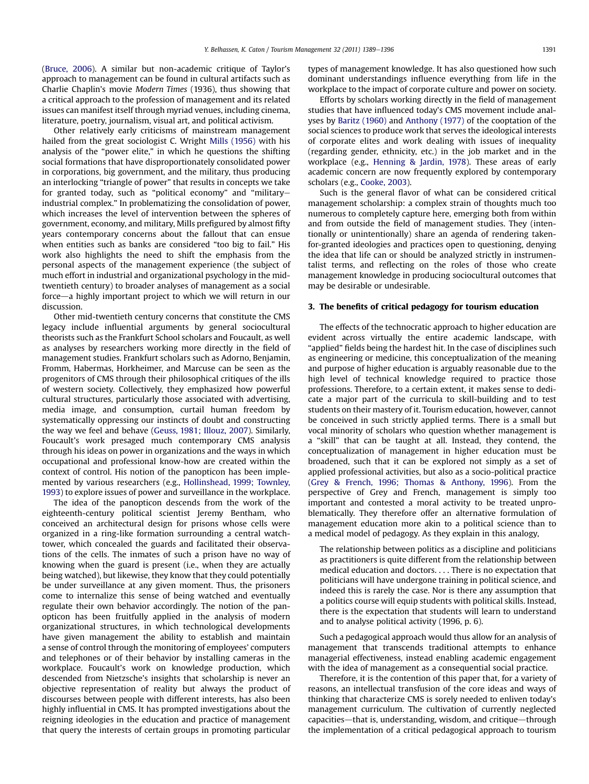([Bruce, 2006\)](#page-6-0). A similar but non-academic critique of Taylor's approach to management can be found in cultural artifacts such as Charlie Chaplin's movie Modern Times (1936), thus showing that a critical approach to the profession of management and its related issues can manifest itself through myriad venues, including cinema, literature, poetry, journalism, visual art, and political activism.

Other relatively early criticisms of mainstream management hailed from the great sociologist C. Wright [Mills \(1956\)](#page-7-0) with his analysis of the "power elite," in which he questions the shifting social formations that have disproportionately consolidated power in corporations, big government, and the military, thus producing an interlocking "triangle of power" that results in concepts we take for granted today, such as "political economy" and "militaryindustrial complex." In problematizing the consolidation of power, which increases the level of intervention between the spheres of government, economy, and military, Mills prefigured by almost fifty years contemporary concerns about the fallout that can ensue when entities such as banks are considered "too big to fail." His work also highlights the need to shift the emphasis from the personal aspects of the management experience (the subject of much effort in industrial and organizational psychology in the midtwentieth century) to broader analyses of management as a social force—a highly important project to which we will return in our discussion.

Other mid-twentieth century concerns that constitute the CMS legacy include influential arguments by general sociocultural theorists such as the Frankfurt School scholars and Foucault, as well as analyses by researchers working more directly in the field of management studies. Frankfurt scholars such as Adorno, Benjamin, Fromm, Habermas, Horkheimer, and Marcuse can be seen as the progenitors of CMS through their philosophical critiques of the ills of western society. Collectively, they emphasized how powerful cultural structures, particularly those associated with advertising, media image, and consumption, curtail human freedom by systematically oppressing our instincts of doubt and constructing the way we feel and behave ([Geuss, 1981; Illouz, 2007\)](#page-6-0). Similarly, Foucault's work presaged much contemporary CMS analysis through his ideas on power in organizations and the ways in which occupational and professional know-how are created within the context of control. His notion of the panopticon has been implemented by various researchers (e.g., [Hollinshead, 1999; Townley,](#page-7-0) [1993\)](#page-7-0) to explore issues of power and surveillance in the workplace.

The idea of the panopticon descends from the work of the eighteenth-century political scientist Jeremy Bentham, who conceived an architectural design for prisons whose cells were organized in a ring-like formation surrounding a central watchtower, which concealed the guards and facilitated their observations of the cells. The inmates of such a prison have no way of knowing when the guard is present (i.e., when they are actually being watched), but likewise, they know that they could potentially be under surveillance at any given moment. Thus, the prisoners come to internalize this sense of being watched and eventually regulate their own behavior accordingly. The notion of the panopticon has been fruitfully applied in the analysis of modern organizational structures, in which technological developments have given management the ability to establish and maintain a sense of control through the monitoring of employees' computers and telephones or of their behavior by installing cameras in the workplace. Foucault's work on knowledge production, which descended from Nietzsche's insights that scholarship is never an objective representation of reality but always the product of discourses between people with different interests, has also been highly influential in CMS. It has prompted investigations about the reigning ideologies in the education and practice of management that query the interests of certain groups in promoting particular

types of management knowledge. It has also questioned how such dominant understandings influence everything from life in the workplace to the impact of corporate culture and power on society.

Efforts by scholars working directly in the field of management studies that have influenced today's CMS movement include analyses by [Baritz \(1960\)](#page-6-0) and [Anthony \(1977\)](#page-6-0) of the cooptation of the social sciences to produce work that serves the ideological interests of corporate elites and work dealing with issues of inequality (regarding gender, ethnicity, etc.) in the job market and in the workplace (e.g., [Henning & Jardin, 1978\)](#page-7-0). These areas of early academic concern are now frequently explored by contemporary scholars (e.g., [Cooke, 2003](#page-6-0)).

Such is the general flavor of what can be considered critical management scholarship: a complex strain of thoughts much too numerous to completely capture here, emerging both from within and from outside the field of management studies. They (intentionally or unintentionally) share an agenda of rendering takenfor-granted ideologies and practices open to questioning, denying the idea that life can or should be analyzed strictly in instrumentalist terms, and reflecting on the roles of those who create management knowledge in producing sociocultural outcomes that may be desirable or undesirable.

## 3. The benefits of critical pedagogy for tourism education

The effects of the technocratic approach to higher education are evident across virtually the entire academic landscape, with "applied" fields being the hardest hit. In the case of disciplines such as engineering or medicine, this conceptualization of the meaning and purpose of higher education is arguably reasonable due to the high level of technical knowledge required to practice those professions. Therefore, to a certain extent, it makes sense to dedicate a major part of the curricula to skill-building and to test students on their mastery of it. Tourism education, however, cannot be conceived in such strictly applied terms. There is a small but vocal minority of scholars who question whether management is a "skill" that can be taught at all. Instead, they contend, the conceptualization of management in higher education must be broadened, such that it can be explored not simply as a set of applied professional activities, but also as a socio-political practice ([Grey & French, 1996; Thomas & Anthony, 1996](#page-7-0)). From the perspective of Grey and French, management is simply too important and contested a moral activity to be treated unproblematically. They therefore offer an alternative formulation of management education more akin to a political science than to a medical model of pedagogy. As they explain in this analogy,

The relationship between politics as a discipline and politicians as practitioners is quite different from the relationship between medical education and doctors. . . . There is no expectation that politicians will have undergone training in political science, and indeed this is rarely the case. Nor is there any assumption that a politics course will equip students with political skills. Instead, there is the expectation that students will learn to understand and to analyse political activity (1996, p. 6).

Such a pedagogical approach would thus allow for an analysis of management that transcends traditional attempts to enhance managerial effectiveness, instead enabling academic engagement with the idea of management as a consequential social practice.

Therefore, it is the contention of this paper that, for a variety of reasons, an intellectual transfusion of the core ideas and ways of thinking that characterize CMS is sorely needed to enliven today's management curriculum. The cultivation of currently neglected capacities—that is, understanding, wisdom, and critique—through the implementation of a critical pedagogical approach to tourism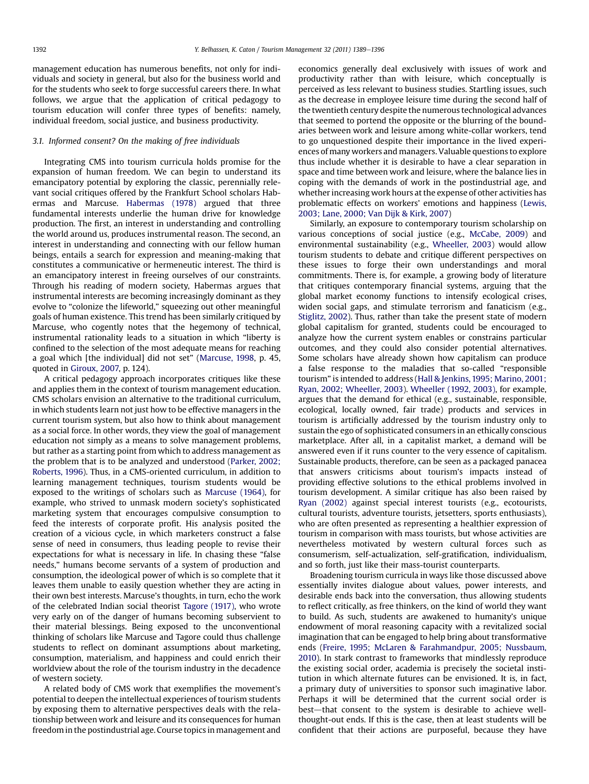management education has numerous benefits, not only for individuals and society in general, but also for the business world and for the students who seek to forge successful careers there. In what follows, we argue that the application of critical pedagogy to tourism education will confer three types of benefits: namely, individual freedom, social justice, and business productivity.

## 3.1. Informed consent? On the making of free individuals

Integrating CMS into tourism curricula holds promise for the expansion of human freedom. We can begin to understand its emancipatory potential by exploring the classic, perennially relevant social critiques offered by the Frankfurt School scholars Habermas and Marcuse. [Habermas \(1978\)](#page-7-0) argued that three fundamental interests underlie the human drive for knowledge production. The first, an interest in understanding and controlling the world around us, produces instrumental reason. The second, an interest in understanding and connecting with our fellow human beings, entails a search for expression and meaning-making that constitutes a communicative or hermeneutic interest. The third is an emancipatory interest in freeing ourselves of our constraints. Through his reading of modern society, Habermas argues that instrumental interests are becoming increasingly dominant as they evolve to "colonize the lifeworld," squeezing out other meaningful goals of human existence. This trend has been similarly critiqued by Marcuse, who cogently notes that the hegemony of technical, instrumental rationality leads to a situation in which "liberty is confined to the selection of the most adequate means for reaching a goal which [the individual] did not set" ([Marcuse, 1998](#page-7-0), p. 45, quoted in [Giroux, 2007,](#page-6-0) p. 124).

A critical pedagogy approach incorporates critiques like these and applies them in the context of tourism management education. CMS scholars envision an alternative to the traditional curriculum, in which students learn not just how to be effective managers in the current tourism system, but also how to think about management as a social force. In other words, they view the goal of management education not simply as a means to solve management problems, but rather as a starting point from which to address management as the problem that is to be analyzed and understood [\(Parker, 2002;](#page-7-0) [Roberts, 1996\)](#page-7-0). Thus, in a CMS-oriented curriculum, in addition to learning management techniques, tourism students would be exposed to the writings of scholars such as [Marcuse \(1964\),](#page-7-0) for example, who strived to unmask modern society's sophisticated marketing system that encourages compulsive consumption to feed the interests of corporate profit. His analysis posited the creation of a vicious cycle, in which marketers construct a false sense of need in consumers, thus leading people to revise their expectations for what is necessary in life. In chasing these "false needs," humans become servants of a system of production and consumption, the ideological power of which is so complete that it leaves them unable to easily question whether they are acting in their own best interests. Marcuse's thoughts, in turn, echo the work of the celebrated Indian social theorist [Tagore \(1917\),](#page-7-0) who wrote very early on of the danger of humans becoming subservient to their material blessings. Being exposed to the unconventional thinking of scholars like Marcuse and Tagore could thus challenge students to reflect on dominant assumptions about marketing, consumption, materialism, and happiness and could enrich their worldview about the role of the tourism industry in the decadence of western society.

A related body of CMS work that exemplifies the movement's potential to deepen the intellectual experiences of tourism students by exposing them to alternative perspectives deals with the relationship between work and leisure and its consequences for human freedom in the postindustrial age. Course topics in management and economics generally deal exclusively with issues of work and productivity rather than with leisure, which conceptually is perceived as less relevant to business studies. Startling issues, such as the decrease in employee leisure time during the second half of the twentieth century despite the numerous technological advances that seemed to portend the opposite or the blurring of the boundaries between work and leisure among white-collar workers, tend to go unquestioned despite their importance in the lived experiences of many workers and managers. Valuable questions to explore thus include whether it is desirable to have a clear separation in space and time between work and leisure, where the balance lies in coping with the demands of work in the postindustrial age, and whether increasing work hours at the expense of other activities has problematic effects on workers' emotions and happiness ([Lewis,](#page-7-0) [2003; Lane, 2000; Van Dijk & Kirk, 2007\)](#page-7-0)

Similarly, an exposure to contemporary tourism scholarship on various conceptions of social justice (e.g., [McCabe, 2009\)](#page-7-0) and environmental sustainability (e.g., [Wheeller, 2003](#page-7-0)) would allow tourism students to debate and critique different perspectives on these issues to forge their own understandings and moral commitments. There is, for example, a growing body of literature that critiques contemporary financial systems, arguing that the global market economy functions to intensify ecological crises, widen social gaps, and stimulate terrorism and fanaticism (e.g., [Stiglitz, 2002\)](#page-7-0). Thus, rather than take the present state of modern global capitalism for granted, students could be encouraged to analyze how the current system enables or constrains particular outcomes, and they could also consider potential alternatives. Some scholars have already shown how capitalism can produce a false response to the maladies that so-called "responsible tourism" is intended to address ([Hall & Jenkins, 1995; Marino, 2001;](#page-7-0) [Ryan, 2002; Wheeller, 2003\)](#page-7-0). [Wheeller \(1992, 2003\),](#page-7-0) for example, argues that the demand for ethical (e.g., sustainable, responsible, ecological, locally owned, fair trade) products and services in tourism is artificially addressed by the tourism industry only to sustain the ego of sophisticated consumers in an ethically conscious marketplace. After all, in a capitalist market, a demand will be answered even if it runs counter to the very essence of capitalism. Sustainable products, therefore, can be seen as a packaged panacea that answers criticisms about tourism's impacts instead of providing effective solutions to the ethical problems involved in tourism development. A similar critique has also been raised by [Ryan \(2002\)](#page-7-0) against special interest tourists (e.g., ecotourists, cultural tourists, adventure tourists, jetsetters, sports enthusiasts), who are often presented as representing a healthier expression of tourism in comparison with mass tourists, but whose activities are nevertheless motivated by western cultural forces such as consumerism, self-actualization, self-gratification, individualism, and so forth, just like their mass-tourist counterparts.

Broadening tourism curricula in ways like those discussed above essentially invites dialogue about values, power interests, and desirable ends back into the conversation, thus allowing students to reflect critically, as free thinkers, on the kind of world they want to build. As such, students are awakened to humanity's unique endowment of moral reasoning capacity with a revitalized social imagination that can be engaged to help bring about transformative ends ([Freire, 1995; McLaren & Farahmandpur, 2005; Nussbaum,](#page-6-0) [2010\)](#page-6-0). In stark contrast to frameworks that mindlessly reproduce the existing social order, academia is precisely the societal institution in which alternate futures can be envisioned. It is, in fact, a primary duty of universities to sponsor such imaginative labor. Perhaps it will be determined that the current social order is best-that consent to the system is desirable to achieve wellthought-out ends. If this is the case, then at least students will be confident that their actions are purposeful, because they have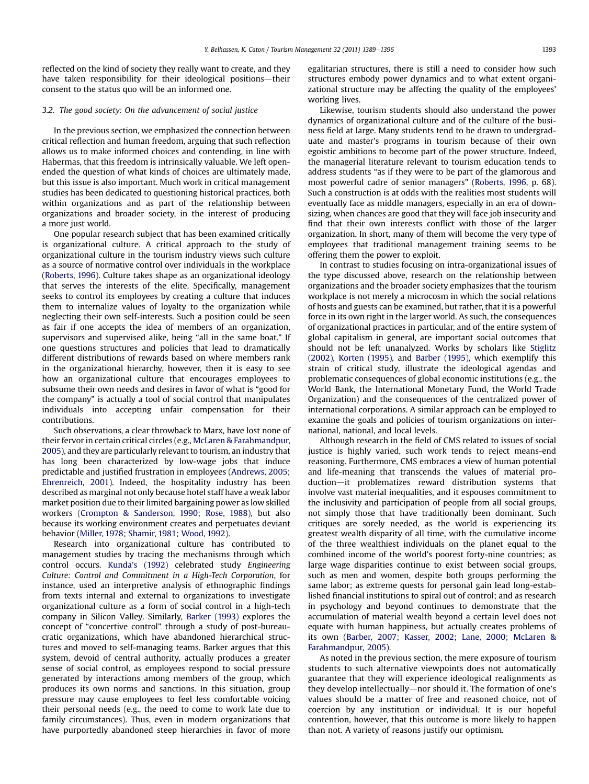reflected on the kind of society they really want to create, and they have taken responsibility for their ideological positions—their consent to the status quo will be an informed one.

## 3.2. The good society: On the advancement of social justice

In the previous section, we emphasized the connection between critical reflection and human freedom, arguing that such reflection allows us to make informed choices and contending, in line with Habermas, that this freedom is intrinsically valuable. We left openended the question of what kinds of choices are ultimately made, but this issue is also important. Much work in critical management studies has been dedicated to questioning historical practices, both within organizations and as part of the relationship between organizations and broader society, in the interest of producing a more just world.

One popular research subject that has been examined critically is organizational culture. A critical approach to the study of organizational culture in the tourism industry views such culture as a source of normative control over individuals in the workplace ([Roberts, 1996\)](#page-7-0). Culture takes shape as an organizational ideology that serves the interests of the elite. Specifically, management seeks to control its employees by creating a culture that induces them to internalize values of loyalty to the organization while neglecting their own self-interests. Such a position could be seen as fair if one accepts the idea of members of an organization, supervisors and supervised alike, being "all in the same boat." If one questions structures and policies that lead to dramatically different distributions of rewards based on where members rank in the organizational hierarchy, however, then it is easy to see how an organizational culture that encourages employees to subsume their own needs and desires in favor of what is "good for the company" is actually a tool of social control that manipulates individuals into accepting unfair compensation for their contributions.

Such observations, a clear throwback to Marx, have lost none of their fervor in certain critical circles (e.g., [McLaren & Farahmandpur,](#page-7-0) [2005\)](#page-7-0), and they are particularly relevant to tourism, an industry that has long been characterized by low-wage jobs that induce predictable and justified frustration in employees ([Andrews, 2005;](#page-6-0) [Ehrenreich, 2001](#page-6-0)). Indeed, the hospitality industry has been described as marginal not only because hotel staff have a weak labor market position due to their limited bargaining power as low skilled workers ([Crompton & Sanderson, 1990; Rose, 1988\)](#page-6-0), but also because its working environment creates and perpetuates deviant behavior ([Miller, 1978; Shamir, 1981; Wood, 1992\)](#page-7-0).

Research into organizational culture has contributed to management studies by tracing the mechanisms through which control occurs. Kunda'[s \(1992\)](#page-7-0) celebrated study Engineering Culture: Control and Commitment in a High-Tech Corporation, for instance, used an interpretive analysis of ethnographic findings from texts internal and external to organizations to investigate organizational culture as a form of social control in a high-tech company in Silicon Valley. Similarly, [Barker \(1993\)](#page-6-0) explores the concept of "concertive control" through a study of post-bureaucratic organizations, which have abandoned hierarchical structures and moved to self-managing teams. Barker argues that this system, devoid of central authority, actually produces a greater sense of social control, as employees respond to social pressure generated by interactions among members of the group, which produces its own norms and sanctions. In this situation, group pressure may cause employees to feel less comfortable voicing their personal needs (e.g., the need to come to work late due to family circumstances). Thus, even in modern organizations that have purportedly abandoned steep hierarchies in favor of more

egalitarian structures, there is still a need to consider how such structures embody power dynamics and to what extent organizational structure may be affecting the quality of the employees' working lives.

Likewise, tourism students should also understand the power dynamics of organizational culture and of the culture of the business field at large. Many students tend to be drawn to undergraduate and master's programs in tourism because of their own egoistic ambitions to become part of the power structure. Indeed, the managerial literature relevant to tourism education tends to address students "as if they were to be part of the glamorous and most powerful cadre of senior managers" [\(Roberts, 1996](#page-7-0), p. 68). Such a construction is at odds with the realities most students will eventually face as middle managers, especially in an era of downsizing, when chances are good that they will face job insecurity and find that their own interests conflict with those of the larger organization. In short, many of them will become the very type of employees that traditional management training seems to be offering them the power to exploit.

In contrast to studies focusing on intra-organizational issues of the type discussed above, research on the relationship between organizations and the broader society emphasizes that the tourism workplace is not merely a microcosm in which the social relations of hosts and guests can be examined, but rather, that it is a powerful force in its own right in the larger world. As such, the consequences of organizational practices in particular, and of the entire system of global capitalism in general, are important social outcomes that should not be left unanalyzed. Works by scholars like [Stiglitz](#page-7-0) [\(2002\), Korten \(1995\),](#page-7-0) and [Barber \(1995\),](#page-6-0) which exemplify this strain of critical study, illustrate the ideological agendas and problematic consequences of global economic institutions (e.g., the World Bank, the International Monetary Fund, the World Trade Organization) and the consequences of the centralized power of international corporations. A similar approach can be employed to examine the goals and policies of tourism organizations on international, national, and local levels.

Although research in the field of CMS related to issues of social justice is highly varied, such work tends to reject means-end reasoning. Furthermore, CMS embraces a view of human potential and life-meaning that transcends the values of material production-it problematizes reward distribution systems that involve vast material inequalities, and it espouses commitment to the inclusivity and participation of people from all social groups, not simply those that have traditionally been dominant. Such critiques are sorely needed, as the world is experiencing its greatest wealth disparity of all time, with the cumulative income of the three wealthiest individuals on the planet equal to the combined income of the world's poorest forty-nine countries; as large wage disparities continue to exist between social groups, such as men and women, despite both groups performing the same labor; as extreme quests for personal gain lead long-established financial institutions to spiral out of control; and as research in psychology and beyond continues to demonstrate that the accumulation of material wealth beyond a certain level does not equate with human happiness, but actually creates problems of its own [\(Barber, 2007; Kasser, 2002; Lane, 2000; McLaren &](#page-6-0) [Farahmandpur, 2005\)](#page-6-0).

As noted in the previous section, the mere exposure of tourism students to such alternative viewpoints does not automatically guarantee that they will experience ideological realignments as they develop intellectually—nor should it. The formation of one's values should be a matter of free and reasoned choice, not of coercion by any institution or individual. It is our hopeful contention, however, that this outcome is more likely to happen than not. A variety of reasons justify our optimism.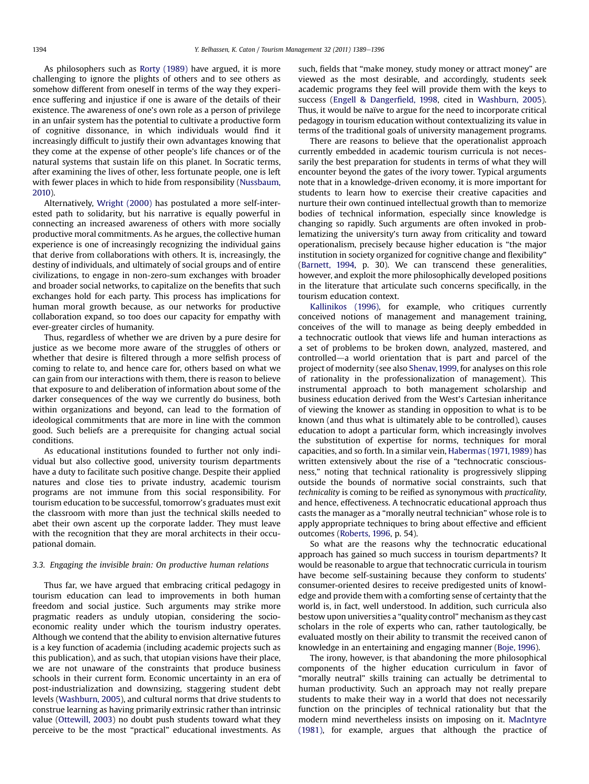As philosophers such as [Rorty \(1989\)](#page-7-0) have argued, it is more challenging to ignore the plights of others and to see others as somehow different from oneself in terms of the way they experience suffering and injustice if one is aware of the details of their existence. The awareness of one's own role as a person of privilege in an unfair system has the potential to cultivate a productive form of cognitive dissonance, in which individuals would find it increasingly difficult to justify their own advantages knowing that they come at the expense of other people's life chances or of the natural systems that sustain life on this planet. In Socratic terms, after examining the lives of other, less fortunate people, one is left with fewer places in which to hide from responsibility [\(Nussbaum,](#page-7-0) [2010](#page-7-0)).

Alternatively, [Wright \(2000\)](#page-7-0) has postulated a more self-interested path to solidarity, but his narrative is equally powerful in connecting an increased awareness of others with more socially productive moral commitments. As he argues, the collective human experience is one of increasingly recognizing the individual gains that derive from collaborations with others. It is, increasingly, the destiny of individuals, and ultimately of social groups and of entire civilizations, to engage in non-zero-sum exchanges with broader and broader social networks, to capitalize on the benefits that such exchanges hold for each party. This process has implications for human moral growth because, as our networks for productive collaboration expand, so too does our capacity for empathy with ever-greater circles of humanity.

Thus, regardless of whether we are driven by a pure desire for justice as we become more aware of the struggles of others or whether that desire is filtered through a more selfish process of coming to relate to, and hence care for, others based on what we can gain from our interactions with them, there is reason to believe that exposure to and deliberation of information about some of the darker consequences of the way we currently do business, both within organizations and beyond, can lead to the formation of ideological commitments that are more in line with the common good. Such beliefs are a prerequisite for changing actual social conditions.

As educational institutions founded to further not only individual but also collective good, university tourism departments have a duty to facilitate such positive change. Despite their applied natures and close ties to private industry, academic tourism programs are not immune from this social responsibility. For tourism education to be successful, tomorrow's graduates must exit the classroom with more than just the technical skills needed to abet their own ascent up the corporate ladder. They must leave with the recognition that they are moral architects in their occupational domain.

## 3.3. Engaging the invisible brain: On productive human relations

Thus far, we have argued that embracing critical pedagogy in tourism education can lead to improvements in both human freedom and social justice. Such arguments may strike more pragmatic readers as unduly utopian, considering the socioeconomic reality under which the tourism industry operates. Although we contend that the ability to envision alternative futures is a key function of academia (including academic projects such as this publication), and as such, that utopian visions have their place, we are not unaware of the constraints that produce business schools in their current form. Economic uncertainty in an era of post-industrialization and downsizing, staggering student debt levels [\(Washburn, 2005\)](#page-7-0), and cultural norms that drive students to construe learning as having primarily extrinsic rather than intrinsic value [\(Ottewill, 2003\)](#page-7-0) no doubt push students toward what they perceive to be the most "practical" educational investments. As such, fields that "make money, study money or attract money" are viewed as the most desirable, and accordingly, students seek academic programs they feel will provide them with the keys to success [\(Engell & Danger](#page-6-0)field, 1998, cited in [Washburn, 2005\)](#page-7-0). Thus, it would be naïve to argue for the need to incorporate critical pedagogy in tourism education without contextualizing its value in terms of the traditional goals of university management programs.

There are reasons to believe that the operationalist approach currently embedded in academic tourism curricula is not necessarily the best preparation for students in terms of what they will encounter beyond the gates of the ivory tower. Typical arguments note that in a knowledge-driven economy, it is more important for students to learn how to exercise their creative capacities and nurture their own continued intellectual growth than to memorize bodies of technical information, especially since knowledge is changing so rapidly. Such arguments are often invoked in problematizing the university's turn away from criticality and toward operationalism, precisely because higher education is "the major institution in society organized for cognitive change and flexibility" ([Barnett, 1994](#page-6-0), p. 30). We can transcend these generalities, however, and exploit the more philosophically developed positions in the literature that articulate such concerns specifically, in the tourism education context.

[Kallinikos \(1996\)](#page-7-0), for example, who critiques currently conceived notions of management and management training, conceives of the will to manage as being deeply embedded in a technocratic outlook that views life and human interactions as a set of problems to be broken down, analyzed, mastered, and  $controlled$ —a world orientation that is part and parcel of the project of modernity (see also [Shenav, 1999](#page-7-0), for analyses on this role of rationality in the professionalization of management). This instrumental approach to both management scholarship and business education derived from the West's Cartesian inheritance of viewing the knower as standing in opposition to what is to be known (and thus what is ultimately able to be controlled), causes education to adopt a particular form, which increasingly involves the substitution of expertise for norms, techniques for moral capacities, and so forth. In a similar vein, [Habermas \(1971, 1989\)](#page-7-0) has written extensively about the rise of a "technocratic consciousness," noting that technical rationality is progressively slipping outside the bounds of normative social constraints, such that technicality is coming to be reified as synonymous with practicality, and hence, effectiveness. A technocratic educational approach thus casts the manager as a "morally neutral technician" whose role is to apply appropriate techniques to bring about effective and efficient outcomes ([Roberts, 1996,](#page-7-0) p. 54).

So what are the reasons why the technocratic educational approach has gained so much success in tourism departments? It would be reasonable to argue that technocratic curricula in tourism have become self-sustaining because they conform to students' consumer-oriented desires to receive predigested units of knowledge and provide them with a comforting sense of certainty that the world is, in fact, well understood. In addition, such curricula also bestow upon universities a "quality control" mechanism as they cast scholars in the role of experts who can, rather tautologically, be evaluated mostly on their ability to transmit the received canon of knowledge in an entertaining and engaging manner [\(Boje, 1996](#page-6-0)).

The irony, however, is that abandoning the more philosophical components of the higher education curriculum in favor of "morally neutral" skills training can actually be detrimental to human productivity. Such an approach may not really prepare students to make their way in a world that does not necessarily function on the principles of technical rationality but that the modern mind nevertheless insists on imposing on it. [MacIntyre](#page-7-0) [\(1981\)](#page-7-0), for example, argues that although the practice of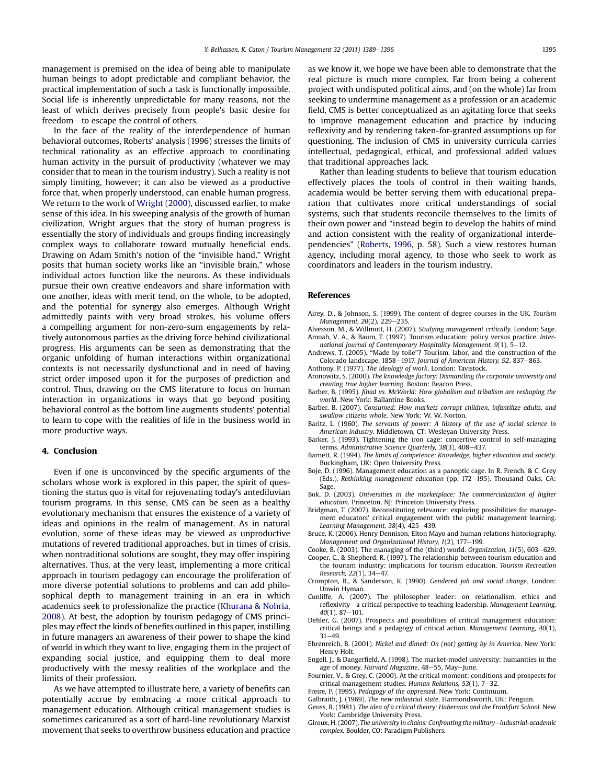<span id="page-6-0"></span>management is premised on the idea of being able to manipulate human beings to adopt predictable and compliant behavior, the practical implementation of such a task is functionally impossible. Social life is inherently unpredictable for many reasons, not the least of which derives precisely from people's basic desire for freedom-to escape the control of others.

In the face of the reality of the interdependence of human behavioral outcomes, Roberts' analysis (1996) stresses the limits of technical rationality as an effective approach to coordinating human activity in the pursuit of productivity (whatever we may consider that to mean in the tourism industry). Such a reality is not simply limiting, however; it can also be viewed as a productive force that, when properly understood, can enable human progress. We return to the work of [Wright \(2000\),](#page-7-0) discussed earlier, to make sense of this idea. In his sweeping analysis of the growth of human civilization, Wright argues that the story of human progress is essentially the story of individuals and groups finding increasingly complex ways to collaborate toward mutually beneficial ends. Drawing on Adam Smith's notion of the "invisible hand," Wright posits that human society works like an "invisible brain," whose individual actors function like the neurons. As these individuals pursue their own creative endeavors and share information with one another, ideas with merit tend, on the whole, to be adopted, and the potential for synergy also emerges. Although Wright admittedly paints with very broad strokes, his volume offers a compelling argument for non-zero-sum engagements by relatively autonomous parties as the driving force behind civilizational progress. His arguments can be seen as demonstrating that the organic unfolding of human interactions within organizational contexts is not necessarily dysfunctional and in need of having strict order imposed upon it for the purposes of prediction and control. Thus, drawing on the CMS literature to focus on human interaction in organizations in ways that go beyond positing behavioral control as the bottom line augments students' potential to learn to cope with the realities of life in the business world in more productive ways.

#### 4. Conclusion

Even if one is unconvinced by the specific arguments of the scholars whose work is explored in this paper, the spirit of questioning the status quo is vital for rejuvenating today's antediluvian tourism programs. In this sense, CMS can be seen as a healthy evolutionary mechanism that ensures the existence of a variety of ideas and opinions in the realm of management. As in natural evolution, some of these ideas may be viewed as unproductive mutations of revered traditional approaches, but in times of crisis, when nontraditional solutions are sought, they may offer inspiring alternatives. Thus, at the very least, implementing a more critical approach in tourism pedagogy can encourage the proliferation of more diverse potential solutions to problems and can add philosophical depth to management training in an era in which academics seek to professionalize the practice [\(Khurana & Nohria,](#page-7-0) [2008\)](#page-7-0). At best, the adoption by tourism pedagogy of CMS principles may effect the kinds of benefits outlined in this paper, instilling in future managers an awareness of their power to shape the kind of world in which they want to live, engaging them in the project of expanding social justice, and equipping them to deal more productively with the messy realities of the workplace and the limits of their profession.

As we have attempted to illustrate here, a variety of benefits can potentially accrue by embracing a more critical approach to management education. Although critical management studies is sometimes caricatured as a sort of hard-line revolutionary Marxist movement that seeks to overthrow business education and practice as we know it, we hope we have been able to demonstrate that the real picture is much more complex. Far from being a coherent project with undisputed political aims, and (on the whole) far from seeking to undermine management as a profession or an academic field, CMS is better conceptualized as an agitating force that seeks to improve management education and practice by inducing reflexivity and by rendering taken-for-granted assumptions up for questioning. The inclusion of CMS in university curricula carries intellectual, pedagogical, ethical, and professional added values that traditional approaches lack.

Rather than leading students to believe that tourism education effectively places the tools of control in their waiting hands, academia would be better serving them with educational preparation that cultivates more critical understandings of social systems, such that students reconcile themselves to the limits of their own power and "instead begin to develop the habits of mind and action consistent with the reality of organizational interdependencies" [\(Roberts, 1996,](#page-7-0) p. 58). Such a view restores human agency, including moral agency, to those who seek to work as coordinators and leaders in the tourism industry.

## References

Airey, D., & Johnson, S. (1999). The content of degree courses in the UK. Tourism Management, 20(2), 229-235.

Alvesson, M., & Willmott, H. (2007). Studying management critically. London: Sage. Amoah, V. A., & Baum, T. (1997). Tourism education: policy versus practice. International Journal of Contemporary Hospitality Management,  $9(1)$ ,  $5-12$ .

Andrews, T. (2005). "Made by toile"? Tourism, labor, and the construction of the Colorado landscape, 1858-1917. Journal of American History, 92, 837-863.

- Anthony, P. (1977). The ideology of work. London: Tavistock. Aronowitz, S. (2000). The knowledge factory: Dismantling the corporate university and
- creating true higher learning. Boston: Beacon Press.
- Barber, B. (1995). Jihad vs. McWorld: How globalism and tribalism are reshaping the world. New York: Ballantine Books.
- Barber, B. (2007). Consumed: How markets corrupt children, infantilize adults, and swallow citizens whole. New York: W. W. Norton.
- Baritz, L. (1960). The servants of power: A history of the use of social science in American industry. Middletown, CT: Wesleyan University Press.
- Barker, J. (1993). Tightening the iron cage: concertive control in self-managing terms. Administrative Science Quarterly, 38(3), 408-437.
- Barnett, R. (1994). The limits of competence: Knowledge, higher education and society. Buckingham, UK: Open University Press.
- Boje, D. (1996). Management education as a panoptic cage. In R. French, & C. Grey (Eds.), Rethinking management education (pp. 172-195). Thousand Oaks, CA: Sage.
- Bok, D. (2003). Universities in the marketplace: The commercialization of higher education. Princeton, NJ: Princeton University Press.
- Bridgman, T. (2007). Reconstituting relevance: exploring possibilities for management educators' critical engagement with the public management learning. Learning Management,  $38(4)$ ,  $425-439$ .
- Bruce, K. (2006). Henry Dennison, Elton Mayo and human relations historiography. Management and Organizational History, 1(2), 177-199.
- Cooke, B. (2003). The managing of the (third) world. Organization, 11(5), 603–629.<br>Cooper, C., & Shepherd, R. (1997). The relationship between tourism education and
- the tourism industry: implications for tourism education. Tourism Recreation Research,  $22(1)$ ,  $34-47$ . Crompton, R., & Sanderson, K. (1990). Gendered job and social change. London:
- Unwin Hyman.
- Cunliffe, A. (2007). The philosopher leader: on relationalism, ethics and reflexivity-a critical perspective to teaching leadership. Management Learning,  $40(1)$ , 87-101.
- Dehler, G. (2007). Prospects and possibilities of critical management education: critical beings and a pedagogy of critical action. Management Learning, 40(1),  $31 - 49$ .
- Ehrenreich, B. (2001). Nickel and dimed: On (not) getting by in America. New York: Henry Holt.
- Engell, J., & Dangerfield, A. (1998). The market-model university: humanities in the age of money. Harvard Magazine, 48-55, May-June.
- Fournier, V., & Grey, C. (2000). At the critical moment: conditions and prospects for critical management studies. Human Relations,  $53(1)$ ,  $7-32$ .
- Freire, P. (1995). Pedagogy of the oppressed. New York: Continuum.
- Galbraith, J. (1969). The new industrial state. Harmondsworth, UK: Penguin.
- Geuss, R. (1981). The idea of a critical theory: Habermas and the Frankfurt School. New York: Cambridge University Press.
- Giroux, H. (2007). The university in chains: Confronting the military-industrial-academic complex. Boulder, CO: Paradigm Publishers.